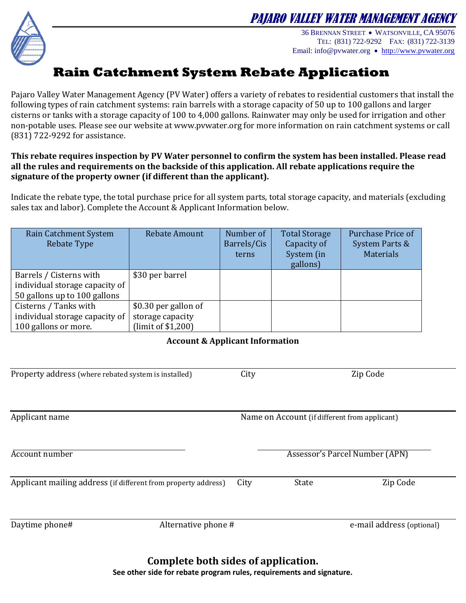

PAJARO VALLEY WATER MANAGEMENT AGENCY

36 BRENNAN STREET WATSONVILLE, CA 95076 TEL: (831) 722-9292 FAX: (831) 722-3139 Email: info@pvwater.org [http://www.pvwater.org](http://www.pvwater.org/)

## **Rain Catchment System Rebate Application**

Pajaro Valley Water Management Agency (PV Water) offers a variety of rebates to residential customers that install the following types of rain catchment systems: rain barrels with a storage capacity of 50 up to 100 gallons and larger cisterns or tanks with a storage capacity of 100 to 4,000 gallons. Rainwater may only be used for irrigation and other non-potable uses. Please see our website at www.pvwater.org for more information on rain catchment systems or call (831) 722-9292 for assistance.

## **This rebate requires inspection by PV Water personnel to confirm the system has been installed. Please read all the rules and requirements on the backside of this application. All rebate applications require the signature of the property owner (if different than the applicant).**

Indicate the rebate type, the total purchase price for all system parts, total storage capacity, and materials (excluding sales tax and labor). Complete the Account & Applicant Information below.

| Rain Catchment System<br><b>Rebate Type</b> | <b>Rebate Amount</b> | Number of<br>Barrels/Cis<br>terns | <b>Total Storage</b><br>Capacity of<br>System (in<br>gallons) | Purchase Price of<br>System Parts &<br><b>Materials</b> |
|---------------------------------------------|----------------------|-----------------------------------|---------------------------------------------------------------|---------------------------------------------------------|
| Barrels / Cisterns with                     | \$30 per barrel      |                                   |                                                               |                                                         |
| individual storage capacity of              |                      |                                   |                                                               |                                                         |
| 50 gallons up to 100 gallons                |                      |                                   |                                                               |                                                         |
| Cisterns / Tanks with                       | \$0.30 per gallon of |                                   |                                                               |                                                         |
| individual storage capacity of              | storage capacity     |                                   |                                                               |                                                         |
| 100 gallons or more.                        | (limit of \$1,200)   |                                   |                                                               |                                                         |

## **Account & Applicant Information**

| Property address (where rebated system is installed)           | City |                                               | Zip Code                  |  |
|----------------------------------------------------------------|------|-----------------------------------------------|---------------------------|--|
| Applicant name                                                 |      | Name on Account (if different from applicant) |                           |  |
| Account number                                                 |      | Assessor's Parcel Number (APN)                |                           |  |
| Applicant mailing address (if different from property address) | City | <b>State</b>                                  | Zip Code                  |  |
| Daytime phone#<br>Alternative phone #                          |      |                                               | e-mail address (optional) |  |

**Complete both sides of application. See other side for rebate program rules, requirements and signature.**